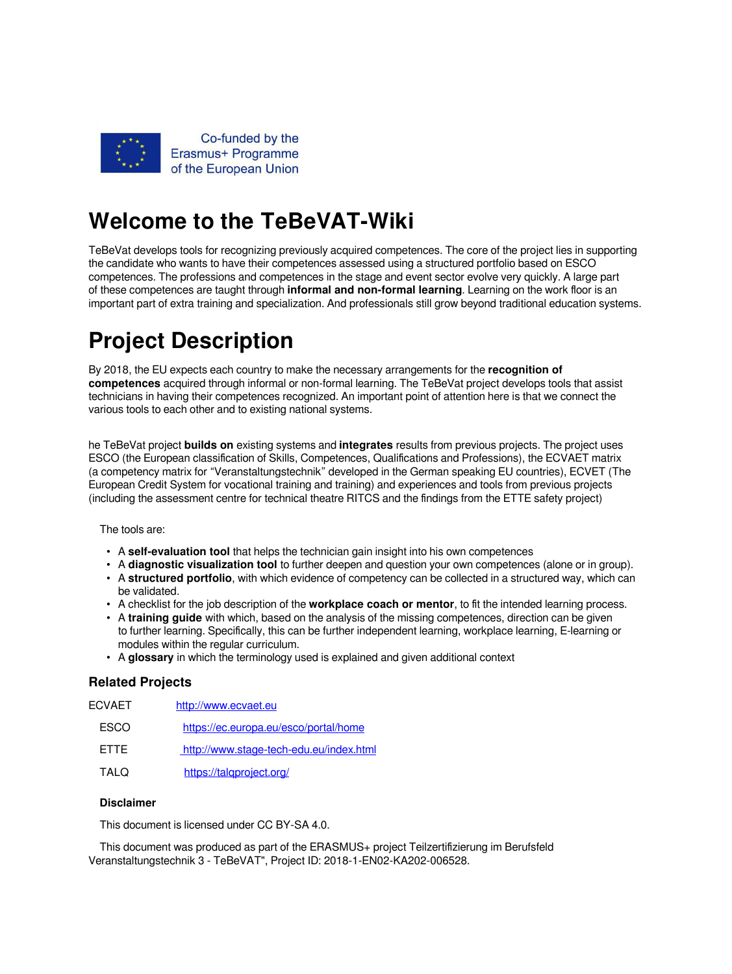

## **Welcome to the TeBeVAT-Wiki**

TeBeVat develops tools for recognizing previously acquired competences. The core of the project lies in supporting the candidate who wants to have their competences assessed using a structured portfolio based on ESCO competences. The professions and competences in the stage and event sector evolve very quickly. A large part of these competences are taught through **informal and non-formal learning**. Learning on the work floor is an important part of extra training and specialization. And professionals still grow beyond traditional education systems.

## **Project Description**

By 2018, the EU expects each country to make the necessary arrangements for the **recognition of competences** acquired through informal or non-formal learning. The TeBeVat project develops tools that assist technicians in having their competences recognized. An important point of attention here is that we connect the various tools to each other and to existing national systems.

he TeBeVat project **builds on** existing systems and **integrates** results from previous projects. The project uses ESCO (the European classification of Skills, Competences, Qualifications and Professions), the ECVAET matrix (a competency matrix for "Veranstaltungstechnik" developed in the German speaking EU countries), ECVET (The European Credit System for vocational training and training) and experiences and tools from previous projects (including the assessment centre for technical theatre RITCS and the findings from the ETTE safety project)

The tools are:

- A **self-evaluation tool** that helps the technician gain insight into his own competences
- A **diagnostic visualization tool** to further deepen and question your own competences (alone or in group).
- A **structured portfolio**, with which evidence of competency can be collected in a structured way, which can be validated.
- A checklist for the job description of the **workplace coach or mentor**, to fit the intended learning process.
- A **training guide** with which, based on the analysis of the missing competences, direction can be given to further learning. Specifically, this can be further independent learning, workplace learning, E-learning or modules within the regular curriculum.
- A **glossary** in which the terminology used is explained and given additional context

## **Related Projects**

| FCVAFT      | http://www.ecvaet.eu                    |
|-------------|-----------------------------------------|
| <b>FSCO</b> | https://ec.europa.eu/esco/portal/home   |
| <b>FTTF</b> | http://www.stage-tech-edu.eu/index.html |
| O IAT       | https://talqproject.org/                |

## **Disclaimer**

This document is licensed under CC BY-SA 4.0.

This document was produced as part of the ERASMUS+ project Teilzertifizierung im Berufsfeld Veranstaltungstechnik 3 - TeBeVAT", Project ID: 2018-1-EN02-KA202-006528.